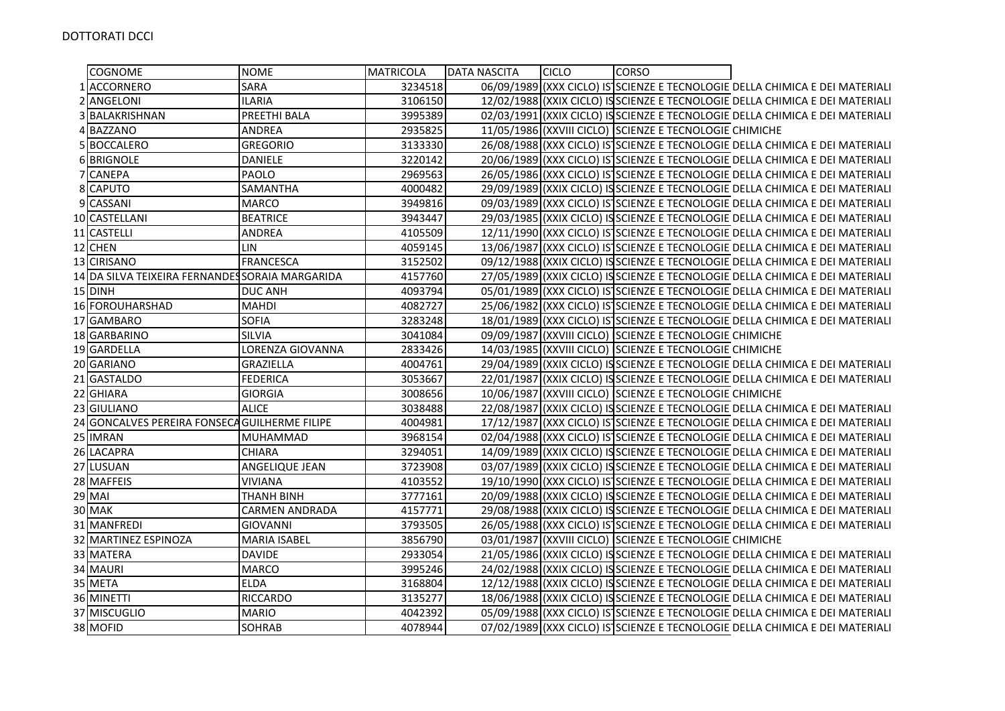| <b>COGNOME</b>                                  | <b>NOME</b>           | <b>MATRICOLA</b> | <b>DATA NASCITA</b> | <b>CICLO</b> | <b>CORSO</b>                                            |                                                                               |
|-------------------------------------------------|-----------------------|------------------|---------------------|--------------|---------------------------------------------------------|-------------------------------------------------------------------------------|
| 1 ACCORNERO                                     | SARA                  | 3234518          |                     |              |                                                         | 06/09/1989 (XXX CICLO) IS SCIENZE E TECNOLOGIE DELLA CHIMICA E DEI MATERIALI  |
| ANGELONI                                        | <b>ILARIA</b>         | 3106150          |                     |              |                                                         | 12/02/1988 (XXIX CICLO) IS SCIENZE E TECNOLOGIE DELLA CHIMICA E DEI MATERIALI |
| BALAKRISHNAN                                    | <b>PREETHI BALA</b>   | 3995389          |                     |              |                                                         | 02/03/1991 (XXIX CICLO) ISSCIENZE E TECNOLOGIE DELLA CHIMICA E DEI MATERIALI  |
| 4 BAZZANO                                       | <b>ANDREA</b>         | 2935825          |                     |              | 11/05/1986 (XXVIII CICLO) SCIENZE E TECNOLOGIE CHIMICHE |                                                                               |
| 5 BOCCALERO                                     | <b>GREGORIO</b>       | 3133330          |                     |              |                                                         | 26/08/1988 (XXX CICLO) IS SCIENZE E TECNOLOGIE DELLA CHIMICA E DEI MATERIALI  |
| 6 BRIGNOLE                                      | <b>DANIELE</b>        | 3220142          |                     |              |                                                         | 20/06/1989 (XXX CICLO) IS SCIENZE E TECNOLOGIE DELLA CHIMICA E DEI MATERIALI  |
| 7 CANEPA                                        | PAOLO                 | 2969563          |                     |              |                                                         | 26/05/1986 (XXX CICLO) IS SCIENZE E TECNOLOGIE DELLA CHIMICA E DEI MATERIALI  |
| 8 CAPUTO                                        | SAMANTHA              | 4000482          |                     |              |                                                         | 29/09/1989 (XXIX CICLO) IS SCIENZE E TECNOLOGIE DELLA CHIMICA E DEI MATERIALI |
| 9 CASSANI                                       | <b>MARCO</b>          | 3949816          |                     |              |                                                         | 09/03/1989 (XXX CICLO) IS SCIENZE E TECNOLOGIE DELLA CHIMICA E DEI MATERIALI  |
| 10 CASTELLANI                                   | <b>BEATRICE</b>       | 3943447          |                     |              |                                                         | 29/03/1985 (XXIX CICLO) IS SCIENZE E TECNOLOGIE DELLA CHIMICA E DEI MATERIALI |
| 11 CASTELLI                                     | <b>ANDREA</b>         | 4105509          |                     |              |                                                         | 12/11/1990 (XXX CICLO) IS SCIENZE E TECNOLOGIE DELLA CHIMICA E DEI MATERIALI  |
| 12 CHEN                                         | LIN                   | 4059145          | 13/06/1987          |              |                                                         | (XXX CICLO) IS SCIENZE E TECNOLOGIE DELLA CHIMICA E DEI MATERIALI             |
| 13 CIRISANO                                     | <b>FRANCESCA</b>      | 3152502          |                     |              |                                                         | 09/12/1988 (XXIX CICLO) IS SCIENZE E TECNOLOGIE DELLA CHIMICA E DEI MATERIALI |
| 14 DA SILVA TEIXEIRA FERNANDES SORAIA MARGARIDA |                       | 4157760          |                     |              |                                                         | 27/05/1989 (XXIX CICLO) IS SCIENZE E TECNOLOGIE DELLA CHIMICA E DEI MATERIALI |
| 15 DINH                                         | <b>DUC ANH</b>        | 4093794          |                     |              |                                                         | 05/01/1989 (XXX CICLO) IS SCIENZE E TECNOLOGIE DELLA CHIMICA E DEI MATERIALI  |
| 16 FOROUHARSHAD                                 | <b>MAHDI</b>          | 4082727          |                     |              |                                                         | 25/06/1982 (XXX CICLO) IS SCIENZE E TECNOLOGIE DELLA CHIMICA E DEI MATERIALI  |
| 17 GAMBARO                                      | <b>SOFIA</b>          | 3283248          |                     |              |                                                         | 18/01/1989 (XXX CICLO) IS SCIENZE E TECNOLOGIE DELLA CHIMICA E DEI MATERIALI  |
| 18 GARBARINO                                    | <b>SILVIA</b>         | 3041084          |                     |              | 09/09/1987 (XXVIII CICLO) SCIENZE E TECNOLOGIE CHIMICHE |                                                                               |
| 19 GARDELLA                                     | LORENZA GIOVANNA      | 2833426          |                     |              | 14/03/1985 (XXVIII CICLO) SCIENZE E TECNOLOGIE CHIMICHE |                                                                               |
| 20 GARIANO                                      | <b>GRAZIELLA</b>      | 4004761          |                     |              |                                                         | 29/04/1989 (XXIX CICLO) IS SCIENZE E TECNOLOGIE DELLA CHIMICA E DEI MATERIALI |
| 21 GASTALDO                                     | <b>FEDERICA</b>       | 3053667          |                     |              |                                                         | 22/01/1987 (XXIX CICLO) IS SCIENZE E TECNOLOGIE DELLA CHIMICA E DEI MATERIALI |
| 22 GHIARA                                       | <b>GIORGIA</b>        | 3008656          |                     |              | 10/06/1987 (XXVIII CICLO) SCIENZE E TECNOLOGIE CHIMICHE |                                                                               |
| 23 GIULIANO                                     | <b>ALICE</b>          | 3038488          |                     |              |                                                         | 22/08/1987 (XXIX CICLO) IS SCIENZE E TECNOLOGIE DELLA CHIMICA E DEI MATERIALI |
| 24 GONCALVES PEREIRA FONSECA GUILHERME FILIPE   |                       | 4004981          |                     |              |                                                         | 17/12/1987 (XXX CICLO) IS SCIENZE E TECNOLOGIE DELLA CHIMICA E DEI MATERIALI  |
| 25 IMRAN                                        | <b>MUHAMMAD</b>       | 3968154          |                     |              |                                                         | 02/04/1988 (XXX CICLO) IS SCIENZE E TECNOLOGIE DELLA CHIMICA E DEI MATERIALI  |
| 26 LACAPRA                                      | <b>CHIARA</b>         | 3294051          |                     |              |                                                         | 14/09/1989 (XXIX CICLO) ISSCIENZE E TECNOLOGIE DELLA CHIMICA E DEI MATERIALI  |
| 27 LUSUAN                                       | <b>ANGELIQUE JEAN</b> | 3723908          |                     |              |                                                         | 03/07/1989 (XXIX CICLO) IS SCIENZE E TECNOLOGIE DELLA CHIMICA E DEI MATERIALI |
| 28 MAFFEIS                                      | <b>VIVIANA</b>        | 4103552          |                     |              |                                                         | 19/10/1990 (XXX CICLO) IS SCIENZE E TECNOLOGIE DELLA CHIMICA E DEI MATERIALI  |
| $29$ MAI                                        | <b>THANH BINH</b>     | 3777161          |                     |              |                                                         | 20/09/1988 (XXIX CICLO) IS SCIENZE E TECNOLOGIE DELLA CHIMICA E DEI MATERIALI |
| 30 MAK                                          | <b>CARMEN ANDRADA</b> | 4157771          |                     |              |                                                         | 29/08/1988 (XXIX CICLO) IS SCIENZE E TECNOLOGIE DELLA CHIMICA E DEI MATERIALI |
| 31 MANFREDI                                     | <b>GIOVANNI</b>       | 3793505          |                     |              |                                                         | 26/05/1988 (XXX CICLO) IS SCIENZE E TECNOLOGIE DELLA CHIMICA E DEI MATERIALI  |
| 32 MARTINEZ ESPINOZA                            | <b>MARIA ISABEL</b>   | 3856790          |                     |              | 03/01/1987 (XXVIII CICLO) SCIENZE E TECNOLOGIE CHIMICHE |                                                                               |
| 33 MATERA                                       | <b>DAVIDE</b>         | 2933054          |                     |              |                                                         | 21/05/1986 (XXIX CICLO) IS SCIENZE E TECNOLOGIE DELLA CHIMICA E DEI MATERIALI |
| 34 MAURI                                        | <b>MARCO</b>          | 3995246          |                     |              |                                                         | 24/02/1988](XXIX CICLO) ISSCIENZE E TECNOLOGIE DELLA CHIMICA E DEI MATERIALI  |
| 35 META                                         | ELDA                  | 3168804          |                     |              |                                                         | 12/12/1988 (XXIX CICLO) ISSCIENZE E TECNOLOGIE DELLA CHIMICA E DEI MATERIALI  |
| 36 MINETTI                                      | <b>RICCARDO</b>       | 3135277          |                     |              |                                                         | 18/06/1988 (XXIX CICLO) IS SCIENZE E TECNOLOGIE DELLA CHIMICA E DEI MATERIALI |
| 37 MISCUGLIO                                    | <b>MARIO</b>          | 4042392          |                     |              |                                                         | 05/09/1988 (XXX CICLO) IS SCIENZE E TECNOLOGIE DELLA CHIMICA E DEI MATERIALI  |
| 38 MOFID                                        | <b>SOHRAB</b>         | 4078944          |                     |              |                                                         | 07/02/1989 (XXX CICLO) IS SCIENZE E TECNOLOGIE DELLA CHIMICA E DEI MATERIALI  |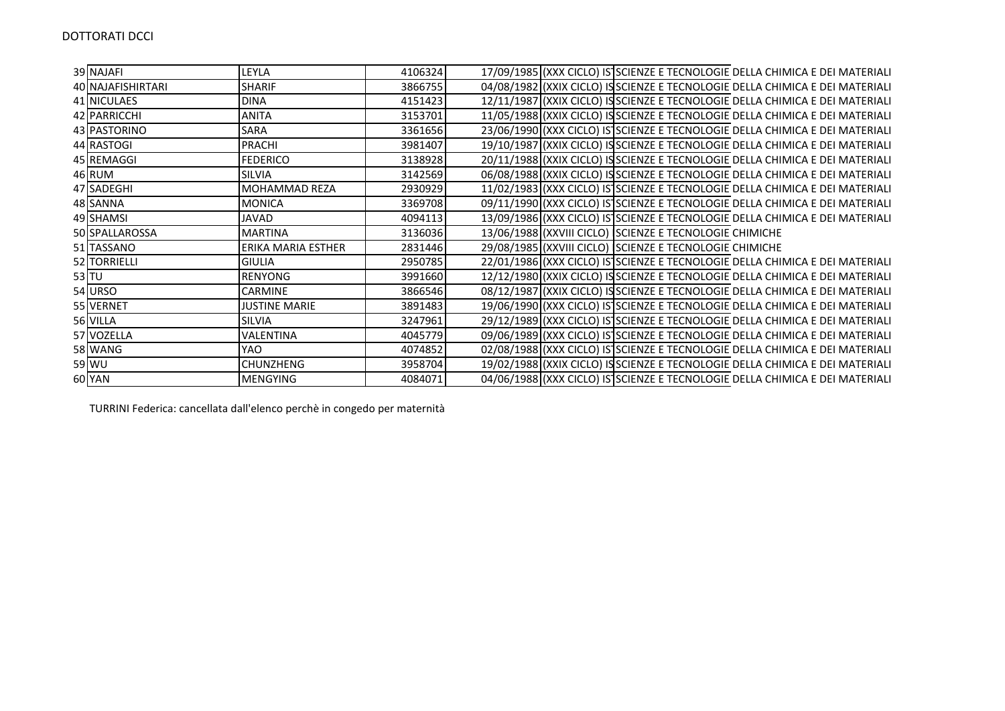| 39 NAJAFI         | LEYLA                | 4106324 |  |                                                         | 17/09/1985 (XXX CICLO) IS SCIENZE E TECNOLOGIE DELLA CHIMICA E DEI MATERIALI  |
|-------------------|----------------------|---------|--|---------------------------------------------------------|-------------------------------------------------------------------------------|
| 40 NAJAFISHIRTARI | <b>SHARIF</b>        | 3866755 |  |                                                         | 04/08/1982 (XXIX CICLO) ISSCIENZE E TECNOLOGIE DELLA CHIMICA E DEI MATERIALI  |
| 41 NICULAES       | <b>DINA</b>          | 4151423 |  |                                                         | 12/11/1987 (XXIX CICLO) ISSCIENZE E TECNOLOGIE DELLA CHIMICA E DEI MATERIALI  |
| 42 PARRICCHI      | <b>ANITA</b>         | 3153701 |  |                                                         | 11/05/1988 (XXIX CICLO) IS SCIENZE E TECNOLOGIE DELLA CHIMICA E DEI MATERIALI |
| 43 PASTORINO      | <b>SARA</b>          | 3361656 |  |                                                         | 23/06/1990 (XXX CICLO) IS SCIENZE E TECNOLOGIE DELLA CHIMICA E DEI MATERIALI  |
| 44 RASTOGI        | PRACHI               | 3981407 |  |                                                         | 19/10/1987 (XXIX CICLO) IS SCIENZE E TECNOLOGIE DELLA CHIMICA E DEI MATERIALI |
| 45 REMAGGI        | <b>FEDERICO</b>      | 3138928 |  |                                                         | 20/11/1988 (XXIX CICLO) ISSCIENZE E TECNOLOGIE DELLA CHIMICA E DEI MATERIALI  |
| 46 RUM            | SILVIA               | 3142569 |  |                                                         | 06/08/1988 (XXIX CICLO) IS SCIENZE E TECNOLOGIE DELLA CHIMICA E DEI MATERIALI |
| 47 SADEGHI        | MOHAMMAD REZA        | 2930929 |  |                                                         | 11/02/1983 (XXX CICLO) IS SCIENZE E TECNOLOGIE DELLA CHIMICA E DEI MATERIALI  |
| 48 SANNA          | <b>MONICA</b>        | 3369708 |  |                                                         | 09/11/1990 (XXX CICLO) IS SCIENZE E TECNOLOGIE DELLA CHIMICA E DEI MATERIALI  |
| 49 SHAMSI         | JAVAD                | 4094113 |  |                                                         | 13/09/1986 (XXX CICLO) IS SCIENZE E TECNOLOGIE DELLA CHIMICA E DEI MATERIALI  |
| 50 SPALLAROSSA    | <b>MARTINA</b>       | 3136036 |  | 13/06/1988 (XXVIII CICLO) SCIENZE E TECNOLOGIE CHIMICHE |                                                                               |
| 51 TASSANO        | ERIKA MARIA ESTHER   | 2831446 |  | 29/08/1985 (XXVIII CICLO) SCIENZE E TECNOLOGIE CHIMICHE |                                                                               |
| 52 TORRIELLI      | <b>GIULIA</b>        | 2950785 |  |                                                         | 22/01/1986 (XXX CICLO) IS SCIENZE E TECNOLOGIE DELLA CHIMICA E DEI MATERIALI  |
| $53$ TU           | <b>RENYONG</b>       | 3991660 |  |                                                         | 12/12/1980 (XXIX CICLO) IS SCIENZE E TECNOLOGIE DELLA CHIMICA E DEI MATERIALI |
| 54 URSO           | <b>CARMINE</b>       | 3866546 |  |                                                         | 08/12/1987 (XXIX CICLO) ISSCIENZE E TECNOLOGIE DELLA CHIMICA E DEI MATERIALI  |
| 55 VERNET         | <b>JUSTINE MARIE</b> | 3891483 |  |                                                         | 19/06/1990 (XXX CICLO) IS SCIENZE E TECNOLOGIE DELLA CHIMICA E DEI MATERIALI  |
| 56 VILLA          | SILVIA               | 3247961 |  |                                                         | 29/12/1989 (XXX CICLO) IS SCIENZE E TECNOLOGIE DELLA CHIMICA E DEI MATERIALI  |
| 57 VOZELLA        | VALENTINA            | 4045779 |  |                                                         | 09/06/1989 (XXX CICLO) IS SCIENZE E TECNOLOGIE DELLA CHIMICA E DEI MATERIALI  |
| 58 WANG           | YAO                  | 4074852 |  |                                                         | 02/08/1988 (XXX CICLO) IS SCIENZE E TECNOLOGIE DELLA CHIMICA E DEI MATERIALI  |
| 59 WU             | <b>CHUNZHENG</b>     | 3958704 |  |                                                         | 19/02/1988 (XXIX CICLO) IS SCIENZE E TECNOLOGIE DELLA CHIMICA E DEI MATERIALI |
| 60 YAN            | <b>MENGYING</b>      | 4084071 |  |                                                         | 04/06/1988 (XXX CICLO) IS SCIENZE E TECNOLOGIE DELLA CHIMICA E DEI MATERIALI  |

TURRINI Federica: cancellata dall'elenco perchè in congedo per maternità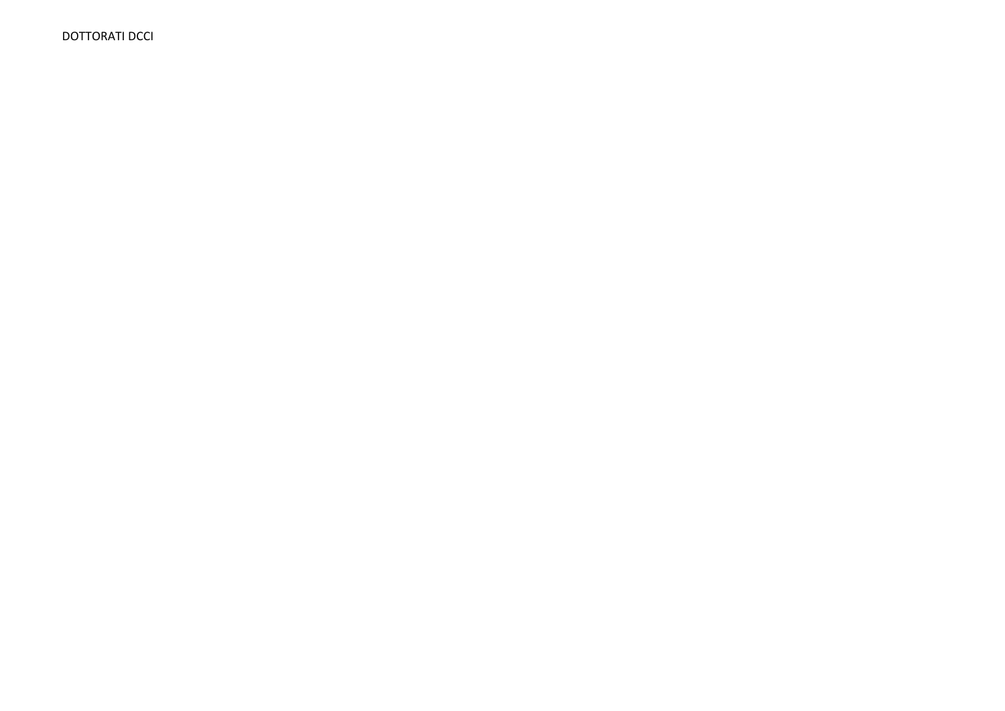**DOTTORATI DCCI**